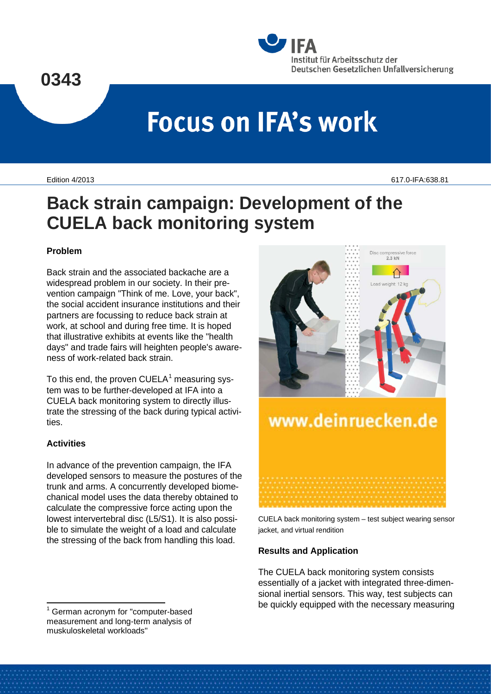

# **Focus on IFA's work**

Edition 4/2013 617.0-IFA:638.81

# **Back strain campaign: Development of the CUELA back monitoring system**

### **Problem**

Back strain and the associated backache are a widespread problem in our society. In their prevention campaign "Think of me. Love, your back", the social accident insurance institutions and their partners are focussing to reduce back strain at work, at school and during free time. It is hoped that illustrative exhibits at events like the "health days" and trade fairs will heighten people's awareness of work-related back strain.

To this end, the proven  $CUELA<sup>1</sup>$  $CUELA<sup>1</sup>$  $CUELA<sup>1</sup>$  measuring system was to be further-developed at IFA into a CUELA back monitoring system to directly illustrate the stressing of the back during typical activities.

# **Activities**

In advance of the prevention campaign, the IFA developed sensors to measure the postures of the trunk and arms. A concurrently developed biomechanical model uses the data thereby obtained to calculate the compressive force acting upon the lowest intervertebral disc (L5/S1). It is also possible to simulate the weight of a load and calculate the stressing of the back from handling this load.

<span id="page-0-0"></span>



CUELA back monitoring system – test subject wearing sensor jacket, and virtual rendition

# **Results and Application**

The CUELA back monitoring system consists essentially of a jacket with integrated three-dimensional inertial sensors. This way, test subjects can be quickly equipped with the necessary measuring